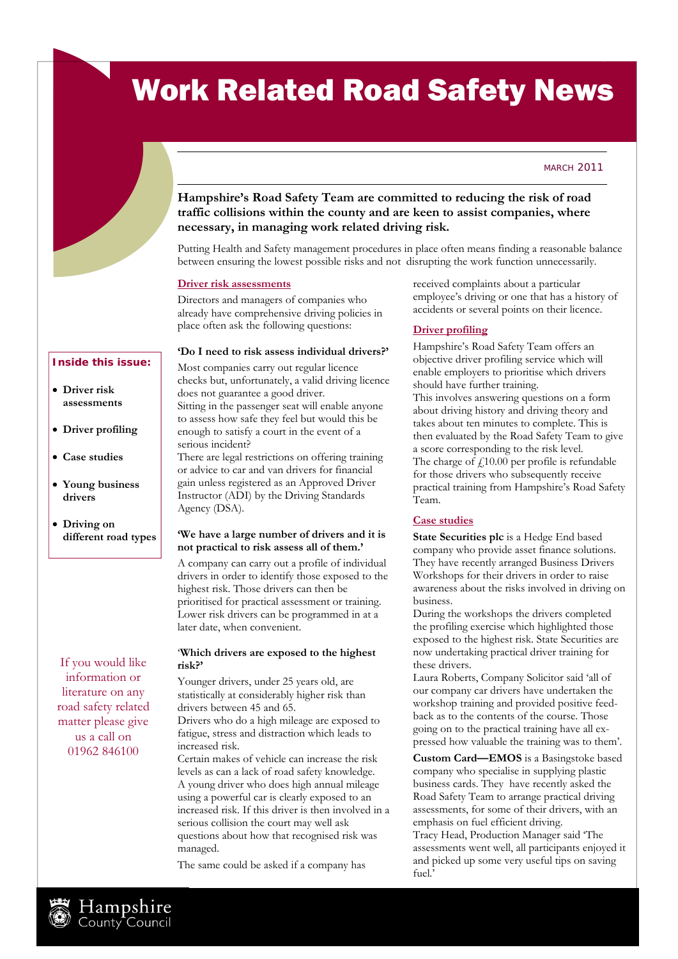# Work Related Road Safety News

#### MARCH<sub>2011</sub>

# **Hampshire's Road Safety Team are committed to reducing the risk of road traffic collisions within the county and are keen to assist companies, where necessary, in managing work related driving risk.**

Putting Health and Safety management procedures in place often means finding a reasonable balance between ensuring the lowest possible risks and not disrupting the work function unnecessarily.

#### **Driver risk assessments**

Directors and managers of companies who already have comprehensive driving policies in place often ask the following questions:

#### **'Do I need to risk assess individual drivers?'**

## **Inside this issue:**

- **Driver risk assessments**
- **Driver profiling**
- **Case studies**
- **Young business drivers**
- **Driving on different road types**

If you would like information or literature on any road safety related matter please give us a call on 01962 846100

Most companies carry out regular licence checks but, unfortunately, a valid driving licence does not guarantee a good driver. Sitting in the passenger seat will enable anyone to assess how safe they feel but would this be enough to satisfy a court in the event of a serious incident?

There are legal restrictions on offering training or advice to car and van drivers for financial gain unless registered as an Approved Driver Instructor (ADI) by the Driving Standards Agency (DSA).

## **'We have a large number of drivers and it is not practical to risk assess all of them.'**

A company can carry out a profile of individual drivers in order to identify those exposed to the highest risk. Those drivers can then be prioritised for practical assessment or training. Lower risk drivers can be programmed in at a later date, when convenient.

## '**Which drivers are exposed to the highest risk?'**

Younger drivers, under 25 years old, are statistically at considerably higher risk than drivers between 45 and 65.

Drivers who do a high mileage are exposed to fatigue, stress and distraction which leads to increased risk.

Certain makes of vehicle can increase the risk levels as can a lack of road safety knowledge. A young driver who does high annual mileage using a powerful car is clearly exposed to an increased risk. If this driver is then involved in a serious collision the court may well ask questions about how that recognised risk was managed.

The same could be asked if a company has

received complaints about a particular employee's driving or one that has a history of accidents or several points on their licence.

#### **Driver profiling**

Hampshire's Road Safety Team offers an objective driver profiling service which will enable employers to prioritise which drivers should have further training.

This involves answering questions on a form about driving history and driving theory and takes about ten minutes to complete. This is then evaluated by the Road Safety Team to give a score corresponding to the risk level. The charge of  $\text{\textsterling}10.00$  per profile is refundable for those drivers who subsequently receive practical training from Hampshire's Road Safety Team.

### **Case studies**

**State Securities plc** is a Hedge End based company who provide asset finance solutions. They have recently arranged Business Drivers Workshops for their drivers in order to raise awareness about the risks involved in driving on business.

During the workshops the drivers completed the profiling exercise which highlighted those exposed to the highest risk. State Securities are now undertaking practical driver training for these drivers.

Laura Roberts, Company Solicitor said 'all of our company car drivers have undertaken the workshop training and provided positive feedback as to the contents of the course. Those going on to the practical training have all expressed how valuable the training was to them'.

**Custom Card—EMOS** is a Basingstoke based company who specialise in supplying plastic business cards. They have recently asked the Road Safety Team to arrange practical driving assessments, for some of their drivers, with an emphasis on fuel efficient driving.

Tracy Head, Production Manager said 'The assessments went well, all participants enjoyed it and picked up some very useful tips on saving fuel.'